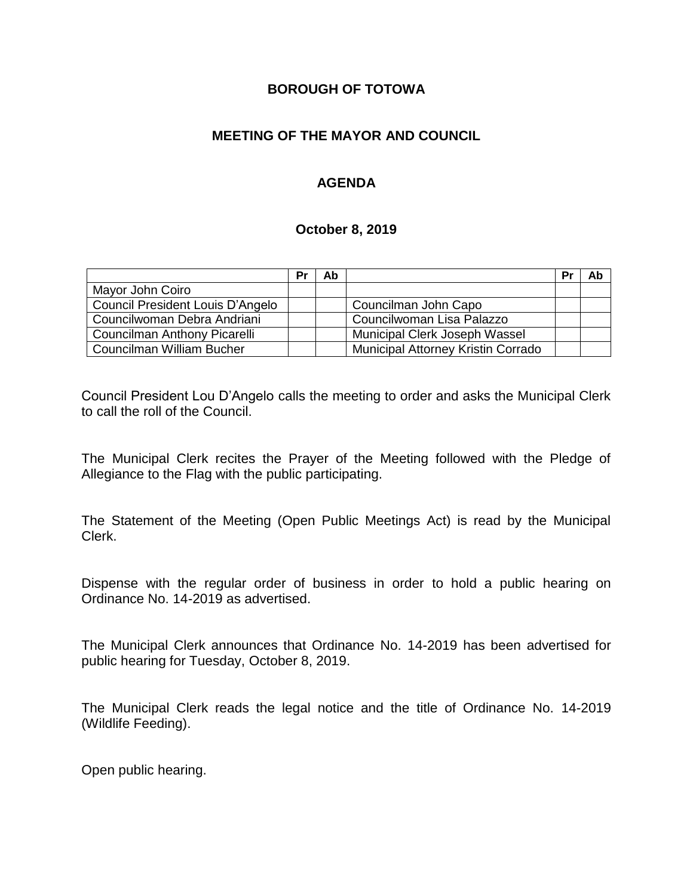#### **BOROUGH OF TOTOWA**

### **MEETING OF THE MAYOR AND COUNCIL**

### **AGENDA**

#### **October 8, 2019**

|                                  | Pr | Ab |                                           | Pr | Ab |
|----------------------------------|----|----|-------------------------------------------|----|----|
| Mayor John Coiro                 |    |    |                                           |    |    |
| Council President Louis D'Angelo |    |    | Councilman John Capo                      |    |    |
| Councilwoman Debra Andriani      |    |    | Councilwoman Lisa Palazzo                 |    |    |
| Councilman Anthony Picarelli     |    |    | Municipal Clerk Joseph Wassel             |    |    |
| Councilman William Bucher        |    |    | <b>Municipal Attorney Kristin Corrado</b> |    |    |

Council President Lou D'Angelo calls the meeting to order and asks the Municipal Clerk to call the roll of the Council.

The Municipal Clerk recites the Prayer of the Meeting followed with the Pledge of Allegiance to the Flag with the public participating.

The Statement of the Meeting (Open Public Meetings Act) is read by the Municipal Clerk.

Dispense with the regular order of business in order to hold a public hearing on Ordinance No. 14-2019 as advertised.

The Municipal Clerk announces that Ordinance No. 14-2019 has been advertised for public hearing for Tuesday, October 8, 2019.

The Municipal Clerk reads the legal notice and the title of Ordinance No. 14-2019 (Wildlife Feeding).

Open public hearing.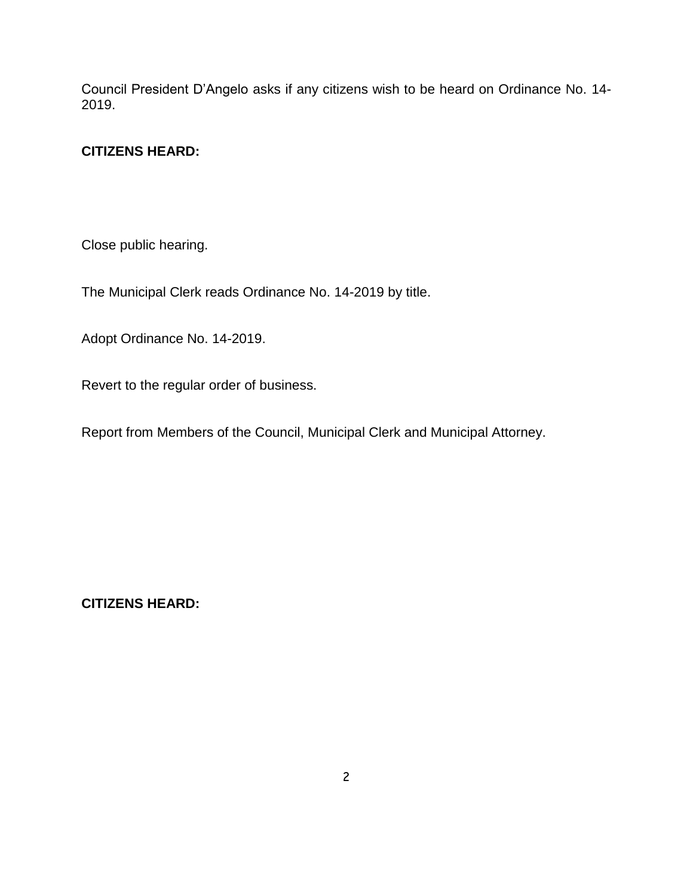Council President D'Angelo asks if any citizens wish to be heard on Ordinance No. 14- 2019.

## **CITIZENS HEARD:**

Close public hearing.

The Municipal Clerk reads Ordinance No. 14-2019 by title.

Adopt Ordinance No. 14-2019.

Revert to the regular order of business.

Report from Members of the Council, Municipal Clerk and Municipal Attorney.

**CITIZENS HEARD:**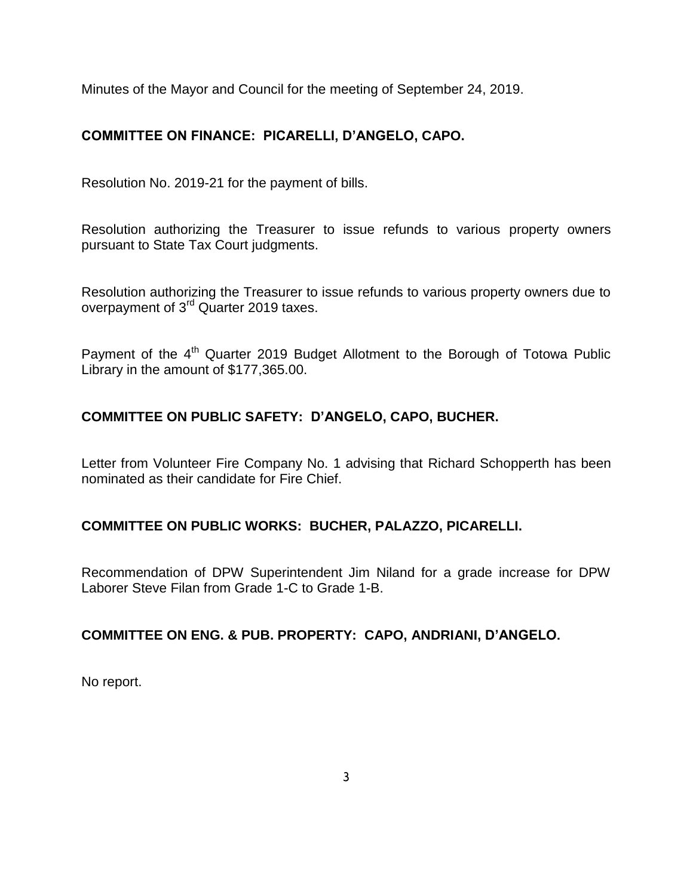Minutes of the Mayor and Council for the meeting of September 24, 2019.

# **COMMITTEE ON FINANCE: PICARELLI, D'ANGELO, CAPO.**

Resolution No. 2019-21 for the payment of bills.

Resolution authorizing the Treasurer to issue refunds to various property owners pursuant to State Tax Court judgments.

Resolution authorizing the Treasurer to issue refunds to various property owners due to overpayment of 3<sup>rd</sup> Quarter 2019 taxes.

Payment of the 4<sup>th</sup> Quarter 2019 Budget Allotment to the Borough of Totowa Public Library in the amount of \$177,365.00.

# **COMMITTEE ON PUBLIC SAFETY: D'ANGELO, CAPO, BUCHER.**

Letter from Volunteer Fire Company No. 1 advising that Richard Schopperth has been nominated as their candidate for Fire Chief.

### **COMMITTEE ON PUBLIC WORKS: BUCHER, PALAZZO, PICARELLI.**

Recommendation of DPW Superintendent Jim Niland for a grade increase for DPW Laborer Steve Filan from Grade 1-C to Grade 1-B.

### **COMMITTEE ON ENG. & PUB. PROPERTY: CAPO, ANDRIANI, D'ANGELO.**

No report.